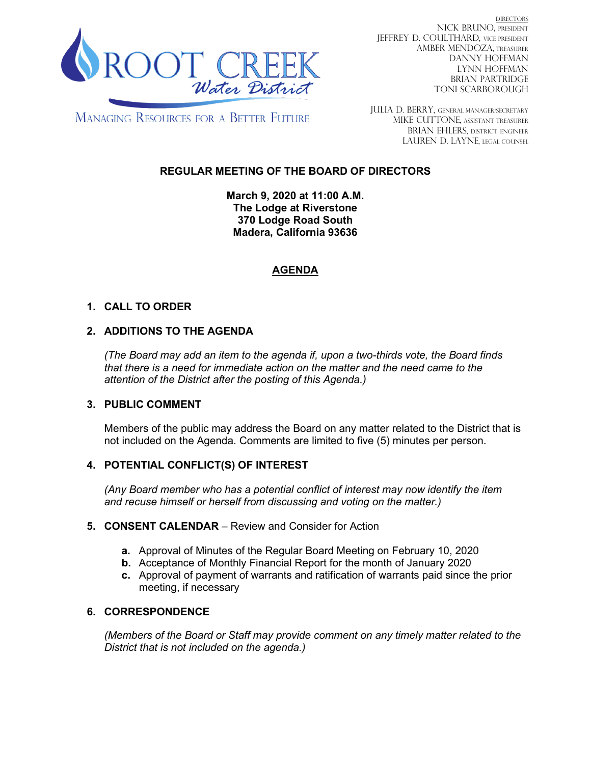

DIRECTORS NICK BRUNO, PRESIDENT JEFFREY D. COULTHARD, Vice President AMBER MENDOZA, TREASURER DANNY HOFFMAN LYNN HOFFMAN BRIAN PARTRIDGE TONI SCARBOROUGH

**MANAGING RESOURCES FOR A BETTER FUTURE** 

JULIA D. BERRY, GENERAL MANAGER/secretary MIKE CUTTONE, Assistant treasurer BRIAN EHLERS, DISTRICT ENGINEER LAUREN D. LAYNE, LEGAL COUNSEL

# **REGULAR MEETING OF THE BOARD OF DIRECTORS**

**March 9, 2020 at 11:00 A.M. The Lodge at Riverstone 370 Lodge Road South Madera, California 93636**

# **AGENDA**

# **1. CALL TO ORDER**

# **2. ADDITIONS TO THE AGENDA**

*(The Board may add an item to the agenda if, upon a two-thirds vote, the Board finds that there is a need for immediate action on the matter and the need came to the attention of the District after the posting of this Agenda.)*

#### **3. PUBLIC COMMENT**

Members of the public may address the Board on any matter related to the District that is not included on the Agenda. Comments are limited to five (5) minutes per person.

#### **4. POTENTIAL CONFLICT(S) OF INTEREST**

*(Any Board member who has a potential conflict of interest may now identify the item and recuse himself or herself from discussing and voting on the matter.)*

#### **5. CONSENT CALENDAR** – Review and Consider for Action

- **a.** Approval of Minutes of the Regular Board Meeting on February 10, 2020
- **b.** Acceptance of Monthly Financial Report for the month of January 2020
- **c.** Approval of payment of warrants and ratification of warrants paid since the prior meeting, if necessary

#### **6. CORRESPONDENCE**

*(Members of the Board or Staff may provide comment on any timely matter related to the District that is not included on the agenda.)*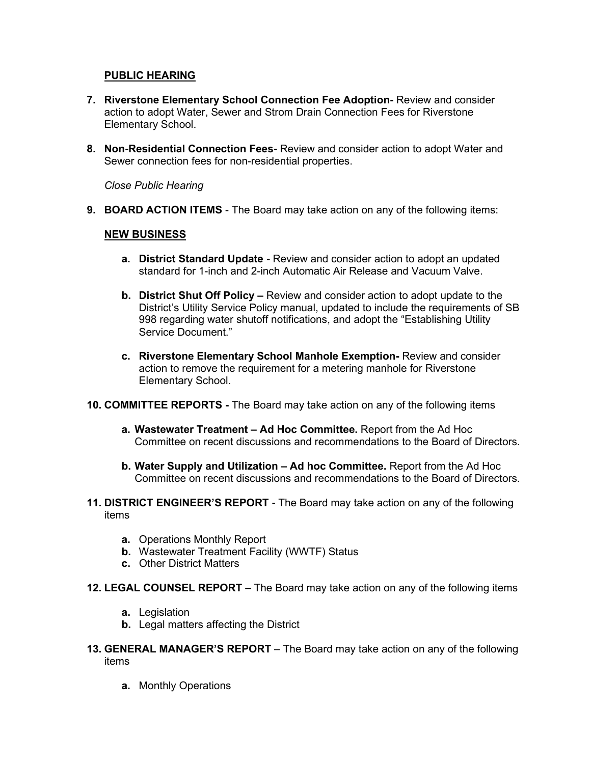### **PUBLIC HEARING**

- **7. Riverstone Elementary School Connection Fee Adoption-** Review and consider action to adopt Water, Sewer and Strom Drain Connection Fees for Riverstone Elementary School.
- **8. Non-Residential Connection Fees-** Review and consider action to adopt Water and Sewer connection fees for non-residential properties.

*Close Public Hearing*

**9. BOARD ACTION ITEMS** - The Board may take action on any of the following items:

#### **NEW BUSINESS**

- **a. District Standard Update -** Review and consider action to adopt an updated standard for 1-inch and 2-inch Automatic Air Release and Vacuum Valve.
- **b. District Shut Off Policy –** Review and consider action to adopt update to the District's Utility Service Policy manual, updated to include the requirements of SB 998 regarding water shutoff notifications, and adopt the "Establishing Utility Service Document."
- **c. Riverstone Elementary School Manhole Exemption-** Review and consider action to remove the requirement for a metering manhole for Riverstone Elementary School.
- **10. COMMITTEE REPORTS -** The Board may take action on any of the following items
	- **a. Wastewater Treatment – Ad Hoc Committee.** Report from the Ad Hoc Committee on recent discussions and recommendations to the Board of Directors.
	- **b. Water Supply and Utilization – Ad hoc Committee.** Report from the Ad Hoc Committee on recent discussions and recommendations to the Board of Directors.
- **11. DISTRICT ENGINEER'S REPORT -** The Board may take action on any of the following items
	- **a.** Operations Monthly Report
	- **b.** Wastewater Treatment Facility (WWTF) Status
	- **c.** Other District Matters
- **12. LEGAL COUNSEL REPORT** The Board may take action on any of the following items
	- **a.** Legislation
	- **b.** Legal matters affecting the District
- **13. GENERAL MANAGER'S REPORT** The Board may take action on any of the following items
	- **a.** Monthly Operations